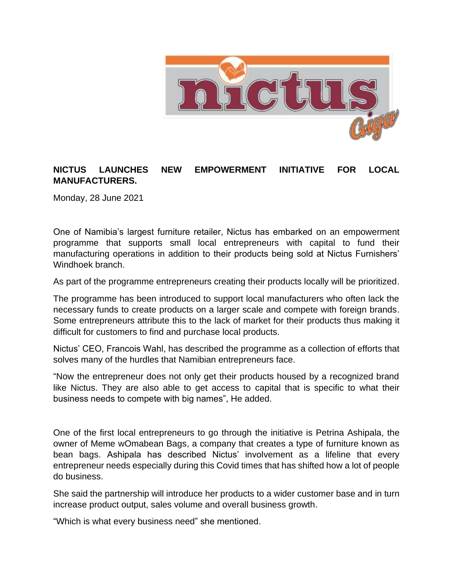

## **NICTUS LAUNCHES NEW EMPOWERMENT INITIATIVE FOR LOCAL MANUFACTURERS.**

Monday, 28 June 2021

One of Namibia's largest furniture retailer, Nictus has embarked on an empowerment programme that supports small local entrepreneurs with capital to fund their manufacturing operations in addition to their products being sold at Nictus Furnishers' Windhoek branch.

As part of the programme entrepreneurs creating their products locally will be prioritized.

The programme has been introduced to support local manufacturers who often lack the necessary funds to create products on a larger scale and compete with foreign brands. Some entrepreneurs attribute this to the lack of market for their products thus making it difficult for customers to find and purchase local products.

Nictus' CEO, Francois Wahl, has described the programme as a collection of efforts that solves many of the hurdles that Namibian entrepreneurs face.

"Now the entrepreneur does not only get their products housed by a recognized brand like Nictus. They are also able to get access to capital that is specific to what their business needs to compete with big names", He added.

One of the first local entrepreneurs to go through the initiative is Petrina Ashipala, the owner of Meme wOmabean Bags, a company that creates a type of furniture known as bean bags. Ashipala has described Nictus' involvement as a lifeline that every entrepreneur needs especially during this Covid times that has shifted how a lot of people do business.

She said the partnership will introduce her products to a wider customer base and in turn increase product output, sales volume and overall business growth.

"Which is what every business need" she mentioned.